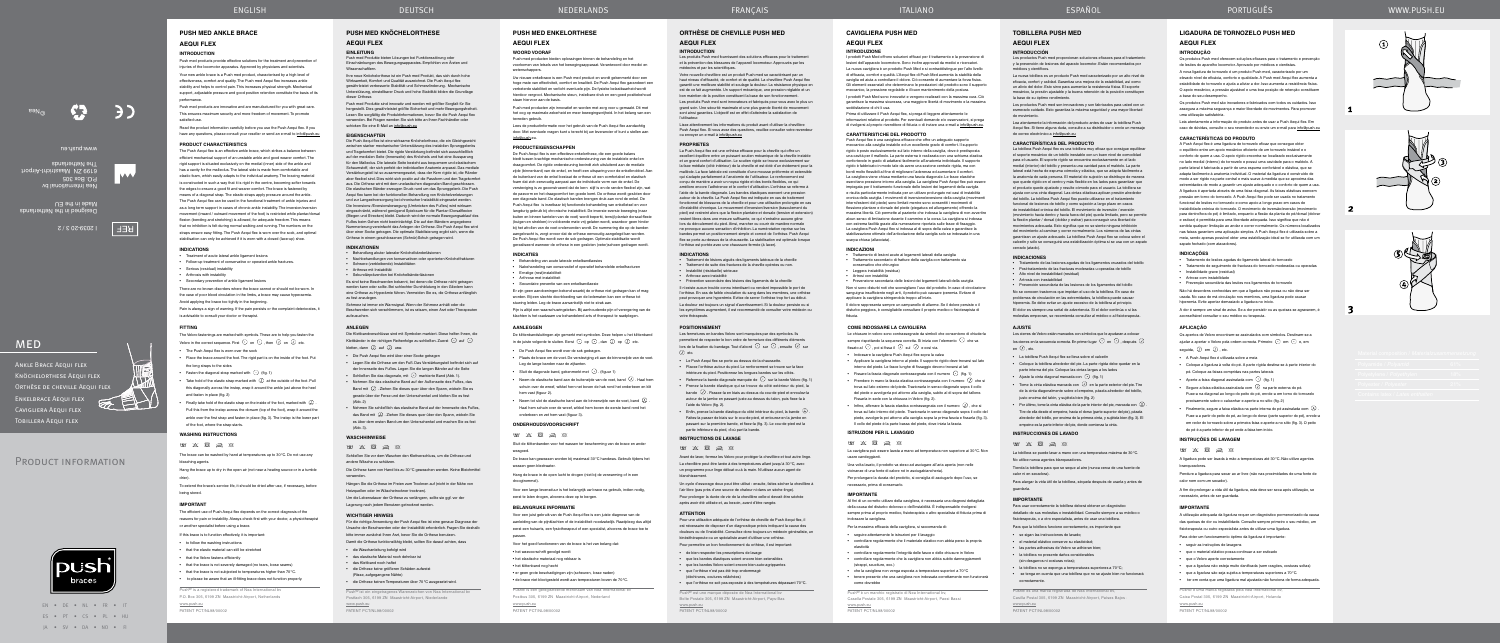# ENGLISH DEUTSCH





#### **Orthèse de cheville Push med**

# **Aequi flex**

#### **Introduction**

Votre nouvelle chevillère est un produit Push med se caractérisant par un haut niveau d'efficacité, de confort et de qualité. La chevillère Push Aequi flex garantit une meilleure stabilité et soulage la douleur. La résistance physique e est de ce fait augmentée. Un support mécanique, une pression réglable et un bon maintien de la position constituent la base de son fonctionner

Les produits Push med fournissent des solutions efficaces pour le traitement et la prévention des blessures de l'appareil locomoteur. Approuvés par les médecins et par les scientifiques.

Les produits Push med sont innovateurs et fabriqués pour vous avec le plus un grand soin. Une sécurité maximale et une plus grande liberté de mouvement sont ainsi garanties. L'objectif est en effet d'atteindre la satisfaction de l'utilisateur.

Lisez attentivement les informations du produit avant d'utiliser la chevillère Push Aequi flex. Si vous avez des questions, veuillez consulter votre revendeur ou envoyer un e-mail à info@push.eu

#### **PROPRIETES**

Les fermetures en bandes Velcro sont marquées par des symboles. Ils permettent de respecter le bon ordre de fermeture des différ lors de la fixation du bandage. Tout d'abord  $\bigodot$  sur  $\bigodot$ , ensuite  $\bigodot$  sur  $\overline{O}$  etc.

La Push Aequi flex est une orthèse efficace pour la cheville qui offre un excellent équilibre entre un puissant soutien mécanique de la cheville instable et un grand confort d'utilisation. Le soutien rigide se trouve exclusivement sur la face médiale (côté intérieur) de la cheville et est doté d'un évidement pour la malléole. La face latérale est constituée d'une mousse préformée et extensible qui s'adapte parfaitement à l'anatomie de l'utilisateur. Le renforcement est conçu de manière a avoir un noyau rigide et des bords flexibles, ce qui améliore encore l'adhérence et le confort d'utilisation. L'orthèse se referme à le de la bande diagonale. Les bandes élastiques exercent une pres autour de la cheville. La Push Aequi flex est indiquée en cas de traitement onnel de blessures de la cheville et pour une utilisation prolongée en cas d'instabilité chronique. Le mouvement d'inversion/éversion (basculement du pied) est restreint alors que la flexion plantaire et dorsale (tension et extension) restent libres dans une mesure suffisante, ce qui n'entraîne aucune gêne lors du déroulement du pied. Ainsi, marcher ou courir de manière normal ne provoque aucune sensation d'inhibition. La numérotation reprise sur les bandes permet un positionnement simple et correct de l'orthèse. Push Aequi flex se porte au-dessus de la chaussette. La stabilisation est optimale lorsque l'orthèse est portée avec une chaussure fermée (à lacer).

• Refermez la bande diagonale marquée de  $\, \odot \,$  sur la bande Velcro (fig. 1) • Prenez la bande élastique qui se trouve du côté extérieur du pied, la bande  $\bigcirc$ . Passez-la en biais au dessus du cou-de-pied et enroulez-la autour de la jambe en passant juste au dessus du talon, puis fixez-la à l'aide du Velcro (fig. 2).

• Enfin, prenez la bande élastique du côté intérieur du pied, la bande  $\vert \overline{\mathbb{Q}} \vert$ Faites-la passer de biais sur le cou-de-pied, et entourez-en la jambe en passant sur la première bande, et fixez-la (fig. 3). Le cou-de-pied est la partie inférieure du pied, d'où part la bande.

#### **INDICATIONS**

• Traitement de lésions aiguës des ligaments latéraux de la cheville • Traitement de suite des fractures de la cheville opérées ou non. • Instabilité (résiduelle) sérieuse

• Arthrose avec instabilité

Die Klettbandverschlüsse sind mit Symbolen markiert. Diese helfen Ihnen, die Klettbänder in der richtigen Reihenfolge zu schließen. Zuerst  $\odot$  auf  $\odot$ 

• Prévention secondaire des lésions des ligaments de la cheville Il n'existe aucun trouble connu interdisant ou rendant impossible le port de l'orthèse. En cas de faible circulation du sang dans les membres, une orthèse peut provoquer une hyperémie. Evitez de serrer l'orthèse trop fort au début. La douleur est toujours un signal d'avertissement. Si la douleur persiste ou si les symptômes augmentent, il est recommandé de consulter votre médecin ou votre thérapeute.

(Abb. 3). **WASCHHINWEISE**  $W$   $X$   $\overline{\otimes}$   $\overline{\otimes}$   $\otimes$ 

#### **POSITIONNEMENT**

• Le Push Aequi flex se porte au dessus de la chaussette. • Placez l'orthèse autour du pied. Le renforcement se trouve sur la face intérieure du pied. Positionnez les longues bandes sur les côtés.

www.push.eu **PATENT PCT/NL98/00002** 

#### **INSTRUCTIONS DE LAVAGE**

 $W$   $X$   $\overline{\mathcal{B}}$   $\overline{\mathcal{B}}$   $\overline{\mathcal{B}}$ 

Avant de laver, fermez les Velcro pour protéger la chevillère et tout autre linge.

- La chevillère peut être lavée à des températures allant jusqu'à 30°C, avec un programme pour linge délicat ou à la main. N'utilisez aucun agent de blanchissement.
- Un cycle d'essorage doux peut être utilisé : ensuite, faites sécher la chevillère à l'air libre (pas près d'une source de chaleur ni dans un sèche-linge).
- Pour prolonger la durée de vie de la chevillère celle-ci devrait être séchée après avoir été utilisée et, au besoin, avant d'être rangée.

#### **ATTENTION**

Aequi flex kann bei der funktionellen Behandlung von Knöche und zur Langzeitversorgung bei chronischer Instabilität eingesetzt werden. Die Inversions-/Eversionsbewegung (Umknicken des Fußes) wird wirksam eingeschränkt, während genügend Spielraum für die Plantar-/Dorsalflexion (Biegen und Strecken) bleibt. Dadurch wird der normale Bewegungsablauf des Fußes beim Gehen nicht beeinträchtigt. Die auf den Bändern angegebene mmerierung vereinfacht das Anlegen der Orthese. Die Push Aequi flex wird über einer Socke getragen. Die optimale Stabilisierung ergibt sich, wenn die Orthese in einem geschlossenen (Schnür)Schuh getragen wird.

- Pour une utilisation adéquate de l'orthèse de cheville de Push Aequi flex, il est nécessaire de disposer d'un diagnostique précis indiquant la cause des douleurs ou de l'instabilité. Consultez donc toujours un médecin généraliste, un kinésithérapeute ou un spécialiste avant d'utiliser une orthèse.
- Pour permettre un bon fonctionnement du orthèse, il est important:
- de bien respecter les prescriptions de lavage • que les bandes élastiques soient encore bien extensible
- que les bandes Velcro soient encore bien auto-agrippantes • que l'orthèse n'est pas été trop endommagé
- (déchirures, coutures relâchées)
- que l'orthèse ne soit pas exposée à des températures dépassant 70°C.
- Push® est une marque déposée de Nea International b Boîte Postale 305, 6199 ZN Maastricht-Airport, Pays-Bas www.push.eu

#### PATENT PCT/NL98/00002

**ANLEGEN**

• Die Push Aequi flex wird über einer Socke getragen

• Legen Sie die Orthese um den Fuß. Das Verstärkungsteil befindet sich auf der Innenseite des Fußes. Legen Sie die langen Bänder auf die Seite • Schließen Sie das diagonale, mit  $\bigcap$  markierte Band (Abb. 1). • Nehmen Sie das elastische Band auf der Außenseite des Fußes, das Band mit  $\bigcirc$  . Ziehen Sie dieses quer über den Spann, wickeln Sie es gerade über der Ferse und den Unterschenkel und kletten Sie es fest

• Nehmen Sie schließlich das elastische Band auf der Innenseite des Fußes, das Band mit  $\overline{\omega}$  . Ziehen Sie dieses quer über den Spann, wickeln Sie es über dem ersten Band um den Unterschenkel und machen Sie es fest

Schließen Sie vor dem Waschen den Klettverschluss, um die Orthese und

andere Wäsche zu schützen.

Die Orthese kann von Hand bis zu 30°C gewaschen werden. Keine Bleichmittel

verwenden.

Hängen Sie die Orthese im Freien zum Trocknen auf (nicht in der Nähe von

Los cierres de Velcro están marcados con símbolos que le ayudaran a colocar los cierres en la secuencia correcta. En primer lugar  $\odot$  en  $\odot$  , después  $\oslash$ en  $\left($ *r*) etc.

Heizquellen oder im Wäschetrockner trocknen).

Um die Lebensdauer der Orthese zu verlängern, sollte sie ggf. vor der

Lagerung nach jedem Benutzen getrocknet werden.

kletten, dann  $\overline{U}$  auf  $\overline{U}$  usw.

**WICHTIGER HINWEIS**

Für die richtige Anwendung der Push Aequi flex ist eine genaue Diagnose der Ursache der Beschwerden oder der Instabilität erforderlich. Fragen Sie deshalb bitte immer zunächst Ihren Arzt, bevor Sie die Orthese benutzen. Damit die Orthese funktionsfähig bleibt, sollten Sie darauf achten, dass

• die Waschanleitung befolgt wird • das elastische Material noch dehnbar ist • das Klettband noch haftet

• die Orthese keine größeren Schäden aufweist (Risse, aufgegangene Nähte)

• die Orthese keinen Temperaturen über 70°C ausgesetzt wird. Push® ist ein eingetragenes Warenzeichen von Nea International bv Postfach 305, 6199 ZN Maastricht-Airport, Niederlande

**Push MED KNÖCHELorthese**

**Aequi FLEX Einleitung**

Push med Produkte bieten Lösungen bei Funktionsstörung oder Einschränkungen des Bewegungsapparates. Empfohlen von Ärzten und

Wissenschaftlern.

Ihre neue Knöchelorthese ist ein Push med Produkt, das sich durch hohe Wirksamkeit, Komfort und Qualität auszeichnet. Die Push Aequi flex gewährleistet verbesserte Stabilität und Schmerzlinderung. Mechanische Unterstützung, einstellbarer Druck und hohe Stabilität bilden die Grundlage

Push med products are innovative and are manufactured for you with great care. This ensures maximum security and more freedom of movement. To promote satisfied use

dieser Orthese.

Read the product information carefully before you use the Push Aequi flex. If you have any questions, please consult your reseller or send an e-mail to info@push.eu Push med Produkte sind innovativ und werden mit größter Sorgfalt für Sie hergestellt. Dies gewährleistet größte Sicherheit und mehr Bewegungsfreiheit. Lesen Sie sorgfältig die Produktinformationen, bevor Sie die Push Aequi flex verwenden. Bei Fragen wenden Sie sich bitte an Ihren Fachhändler oder

schicken Sie eine E-Mail an info@push.eu

**EIGENSCHAFTEN**

Die Push Aequi flex ist eine wirksame Knöchelorthese, die ein Gleichgewicht zwischen starker mechanischer Unterstützung des instabilen Sprunggelenk und Tragekomfort bietet. Die rigide Verstärkung befindet sich ausschließlich auf der medialen Seite (Innenseite) des Knöchels und hat eine Aussparung für den Malleolus. Die laterale Seite besteht aus bequemem und ela Schaumstoff, der sich perfekt der individuellen Anatomie anpasst. Das mediale Verstärkungsteil ist so zusammengesetzt, dass der Kern rigide ist, die Ränder aber flexibel sind. Dies wirkt sich positiv auf die Passform und den Tragekomfort aus. Die Orthese wird mit dem unelastischen diagonalen Band ges Die elastischen Bänder erzeugen Druck rund um das Sprunggelenk. Die Push

The Push Aequi flex is an effective ankle brace, which strikes a balance between efficient mechanical support of an unstable ankle and good wearer comfort. The rigid support is situated exclusively on the medial (inner) side of the ankle and has a cavity for the malleolus. The lateral side is made from comfortable and elastic foam, which easily adapts to the individual anatomy. The bracing material is constructed in such a way that it is rigid in the centre, becoming softer towards the edges to ensure a good fit and wearer comfort. The brace is fastened by means of a diagonal strap. The elastic straps apply pressure around the ankle. The Push Aequi flex can be used in the functional treatment of ankle injuries and as a long term support in cases of chronic ankle instability. The inversion/eversion movement (inward / outward movement of the foot) is restricted while plantar/dorsal flexion (bending and stretching) is allowed, for adequate freedom. This means that no inhibition is felt during normal walking and running. The numbers on the straps ensure easy fitting. The Push Aequi flex is worn over the sock, and optimal stabilisation can only be achieved if it is worn with a closed (lace-up) shoe.

- Treatment of acute lateral ankle ligament lesions
- 
- Secondary prevention of ankle ligament lesions
- There are no known disorders where the brace cannot or should not be worn. In the case of poor blood circulation in the limbs, a brace may cause hyperaemia.

The Velcro fastenings are marked with symbols. These are to help you fasten the Velcro in the correct sequence. First  $\bigodot$  on  $\bigodot$  , then  $\bigodot$  on  $\bigodot$  etc.

#### $W$   $X$   $\overline{B}$   $\overline{R}$   $\overline{R}$ The brace can be washed by hand at temperatures up to 30°C. Do not use any bleaching agents.

**INDIKATIONEN**

 $(\Delta h h 2)$ 

• Behandlung akuter lateraler Knöchelbänderläsionen

• Nachbehandlungen von konservativen oder operierten Knöchelfrakturen

• Schwere (verbleibende) Instabilitäten • Arthrose mit Instabilität

• Sekundärprävention bei Knöchelbänderläsionen

Es sind keine Beschwerden bekannt, bei denen die Orthese nicht getragen werden kann oder sollte. Bei schlechter Durchblutung in den Gliedern kann eine Orthese zu Hyperämie führen. Vermeiden Sie es, die Orthese anfänglich

zu fest anzulegen.

Schmerz ist immer ein Warnsignal. Wenn der Schmerz anhält oder die Beschwerden sich verschlimmern, ist es ratsam, einen Arzt oder Therapeuten

aufzusuchen.

# **TOBILLERA PUSH MED**

# **AEQUI FLEX**

#### **INTRODUCCIÓN**

Lees de productinformatie voor het gebruik van de Push Aequi flex aandachtie door. Met eventuele vragen kunt u terecht bij uw leverancier of kunt u stellen aan info@push.eu.

Los productos Push med proporcionan soluciones eficaces para el tratamiento y la prevención de lesiones del aparato locomotor. Están recomendados por médicos y científicos.

La nueva tobillera es un producto Push med caracterizado por un alto nivel de eficacia, confort y calidad. Garantiza una mejora de la estabilidad, así como un alivio del dolor. Esto sirve para aumentar la resistencia física. El soporte mecánico, la presión ajustable y la buena retención de la posición constituyen la base de su óptimo rendimiento.

Los productos Push med son innovadores y son fabricados para usted con un esmerado cuidado. Esto garantiza la máxima seguridad y una mayor libertad de movimiento.

Lea atentamente la información del producto antes de usar la tobillera Push Aequi flex. Si tiene alguna duda, consulte a su distribuidor o envíe un mensaje de correo electrónico a info@push.eu

#### **CARACTERÍSTICAS DEL PRODUCTO**

Pijn is altijd een waarschuwingsteken. Bij aanhoudende pijn of verergering van de klachten is het raadzaam uw behandelend arts of therapeut te raadplegen.

De klittenbandsluitingen zijn gemerkt met symbolen. Deze helpen u het klittenband in de juiste volgorde te sluiten. Eerst  $\odot$  op  $\odot$  , dan  $\odot$  op  $\odot$  etc.

De brace kan gewassen worden bij maximaal 30°C handwas. Gebruik tijdens het wassen geen bleekwater

Voor een lange levensduur is het belangrijk uw brace na gebruik, indien nodig, eerst te laten drogen, alvorens deze op te bergen.

La tobillera Push Aequi flex es una tobillera muy eficaz que consigue equilibrar el soporte mecánico de un tobillo inestable con un buen nivel de comodidad para el usuario. El soporte rígido se encuentra exclusivamente en el lado medial (interior) del tobillo y presenta una cavidad para el maléolo. La parte lateral está hecha de espuma cómoda y elástica, que se adapta fácilmente a la anatomía de cada persona. El material de sujeción se distribuye de manera que quede rígido en el centro y más flexible en los lados para garantizar que el producto quede ajustado y resulte cómodo para el usuario. La tobillera se ajusta con una cinta diagonal. Las cintas elásticas aplican presión alrededor del tobillo. La tobillera Push Aequi flex puede utilizarse en el tratamiento funcional de lesiones de tobillo y como sujeción a largo plazo en casos de inestabilidad crónica del tobillo. El movimiento de inversión / eversión (movimiento hacia dentro y hacia fuera del pie) queda limitado, pero se permite la flexión plantar / dorsal (doblar y estirar) para conseguir una libertad de movimientos adecuada. Esto significa que no se siente ninguna inhibición del movimiento al caminar y correr normalmente. Los números de las cintas garantizan un ajuste adecuado. La tobillera Push Aequi flex se coloca sobre el calcetín y sólo se conseguirá una estabilización óptima si se usa con un zapato cerrado (atado).

#### **INDICACIONES**

prodotti Push Med offrono soluzioni efficaci per il trattamento e la prevenzione di lesioni dell'apparato locomotore. Sono inoltre approvati da medici e ricercatori. La nuova cavigliera è un prodotto Push Med e si contraddistingue per l'alto livello di efficacia, comfort e qualità. L'Aequi flex di Push Med aumenta la stabilità della caviglia ed aiuta a controllare il dolore. Ciò consente di aumentare la forza fisica. Gli elementi essenziali che determinano le prestazioni del prodotto sono il supporto meccanico, la pressione regolabile e il buon mantenimento della postura. I prodotti Push Med sono innovativi e vengono realizzati con la massima cura. Ciò

- Tratamiento de las lesiones agudas de los ligamentos cruzados del tobillo
- Post-tratamiento de las fracturas moderadas u operadas de tobillo • Alto nivel de inestabilidad (residual)
- Artrosis con inestabilidad

Push Aequi flex è una cavigliera efficace che offre un adeguato supporto meccanico alla caviglia instabile ed un eccellente grado di comfort. Il supporto rigido è posto esclusivamente sul lato interno della caviglia, dove è predisposta una cavità per il malleolo. La parte esterna è realizzata con una schiuma elastica confortevole in grado di adattarsi facilmente all'anatomia individuale. Il supporto rigido è fabbricato in modo tale da avere una sezione centrale rigida, ma con bordi molto flessibili al fine di migliorare l'aderenza ed aumentare il com La cavigliera viene chiusa mediante una fascia diagonale. Le fasce elastiche esercitano pressione intorno alla caviglia. La cavigliera Push Aequi flex può essere impiegata per il trattamento funzionale delle lesioni dei legamenti della caviglia e risulta particolarmente indicata per un utilizzo prolungato nei casi di instab cronica della caviglia. I movimenti di inversione/eversione della caviglia (movimenti interni/esterni del piede) sono limitati mentre sono consentiti i movimenti di flessione plantare e dorsale del piede (piegatura ed allungamento) offrendo la massima libertà. Ciò permette al paziente che indossa la cavigliera di non avvertire alcun senso di limitazione durante il cammino e la corsa. La cavigliera si indossa con estrema facilità grazie alla numerazione riportata sulle fasce di fissaggio. La cavigliera Push Aequi flex si indossa al di sopra della calza e garantisce la stabilizzazione ottimale dell'articolazione della caviglia solo se indossata in una arpa chiusa (allacciata<sup>)</sup>

> • Prevención secundaria de las lesiones de los ligamentos del tobillo No se conocen trastornos que impidan el uso de la tobillera. En caso de problemas de circulación en las extremidades, la tobillera puede causar hiperemia. Se debe evitar un ajuste excesivo de la tobillera al principio. El dolor es siempre una señal de advertencia. Si el dolor continúa o si las molestias empeoran, se recomienda consultar al médico o al fisioterapeuta.

#### **AJUSTE**

- La tobillera Push Aequi flex se lleva sobre el calcetín
- Coloque la tobillera alrededor del pie. La parte rígida debe quedar en la parte interna del pie. Coloque las cintas largas a los lados
- Ajuste la cinta diagonal marcada con  $\bigodot$  (fig. 1)
- Tome la cinta elástica marcada con  $\overline{O}$  en la parte exterior del pie. Tire de la cinta diagonalmente sobre el empeine, pásela alrededor del tobillo, justo encima del talón, y sujétela bien (fig. 2)
- Por último, tome la cinta elástica de la parte interior del pie, marcada con . Tire de ella desde el empeine, hacia el dorso (parte superior del pie), pásela alrededor del tobillo, por encima de la primera cinta, y sujétela bien (fig. 3). El empeine es la parte inferior del pie, donde comienza la cinta.

applicare la cavigliera stringendola troppo all'inizio. Il dolore rappresenta sempre un campanello di allarme. Se il dolore persiste o il isturbo peggiora, è consigliabile consultare il proprio medico o fisioterapista di

# **INSTRUCCIONES DE LAVADO**

 $WW \times R \implies R$ 

La tobillera se puede lavar a mano con una temperatura máxima de 30°C.

No utilice nunca agentes blanqueadores.

Tienda la tobillera para que se seque al aire (nunca cerca de una fuente de calor ni en secadora).

Para alargar la vida útil de la tobillera, séquela después de usarla y antes de guardarla.

#### **IMPORTANTE**

Para usar correctamente la tobillera deberá obtener un diagnóstico detallado de sus molestias o inestabilidad. Consulte siempre a su médico o fisioterapeuta, o a otro especialista, antes de usar una tobillera.

icinanze di una fonte di calore né in asciugabiar Per prolungare la durata del prodotto, si consiglia di asciugarlo dopo l'uso, se

Para que la tobillera funcione correctamente, es importante que:

• se sigan las instrucciones de lavado; • el material elástico conserve su elasticidad; • las partes adhesivas de Velcro se adhieran bien; • la tobillera no presente daños considera (sin desgarros ni costuras rotas);

• la tobillera no se exponga a temperaturas superiores a 70°C; • se tenga en cuenta que una tobillera que no se ajuste bien no funcionará

correctamente.

Push® es una marca registrada de Nea International bv, Casilla Postal 305, 6199 ZN Maastricht-Airport, Países Bajos ·

www.push.eu PATENT PCT/NL98/00002

# Ankle Brace Aequi flex Knöchelorthese Aequi flex ORTHÈSE DE CHEVILLE AEQUI FLEX Enkelbrace Aequi flex Cavigliera Aequi flex

Tobillera Aequi flex

# PRODUCT INFORMATION



**CR** 

www.push.eu

## **Push med ankle brace**

# **Aequi flex**

## **Introduction**

Push med products provide effective solutions for the treatment and prevention of injuries of the locomotor apparatus. Approved by physicians and scientists Your new ankle brace is a Push med product, characterised by a high level of

effectiveness, comfort and quality. The Push med Aequi flex increases ankle stability and helps to control pain. This increases physical strength. Mechanical support, adjustable pressure and good position retention constitute the basis of its performance.

#### **PRODUCT CHARACTERISTICS**

Os apertos de Velcro encontram-se assinalados com símbolos. Destinam-se a ajudar a apertar o Velcro pela ordem correcta. Primeiro  $\odot$  em  $\odot$  e, em

pé. Coloque as faixas compridas nas partes laterais • Aperte a faixa diagonal assinalada com  $\bigodot$  (fig. 1)

Segure a faixa elástica assinalada com  $\bigcirc$  na parte externa do pé. Puxe-a na diagonal ao longo do peito do pé, enrole-a em torno do tornozelo

Finalmente, segure a faixa elástica na parte interna do pé assinalada com  $\ket{\mathfrak{D}}$  . Puxe-a a partir do peito do pé, ao longo do dorso (parte superior do pé), enrole-a em redor do tornozelo sobre a primeira faixa e aperte-a no sítio (fig. 3). O peito

**INSTRUÇÕES DE LAVAGEM**  $\qquad \qquad \ \ \, \boxtimes \qquad \ \ \, \boxtimes \qquad \ \ \, \boxtimes \qquad \ \ \, \otimes$ 

#### **INDICATIONS**

Designed in the Netherlands Made in the EU

# **REF**

- 
- Follow-up treatment of conservative or operated ankle fractures.
- Serious (residual) instability • Arthrosis with instability
- 
- Avoid applying the brace too tightly in the beginning.

Pain is always a sign of warning. If the pain persists or the complaint deteriorates, it is advisable to consult your doctor or therapist.

#### **FITTING**

- The Push Aequi flex is worn over the sock
- Place the brace around the foot. The rigid part is on the inside of the foot. Put the long straps to the sides
- Fasten the diagonal strap marked with  $\bigcirc$  (fig. 1)
- Take hold of the elastic strap marked with  $\overline{\mathcal{Q}}$  at the outside of the foot. Pull this diagonally across the instep, wrap it around the ankle just above the heel and fasten in place (fig. 2)
- Finally take hold of the elastic strap on the inside of the foot, marked with  $\bigcirc$ . Pull this from the instep across the dorsum (top of the foot), wrap it around the ankle over the first strap and fasten in place (fig. 3). The instep is the lower part of the foot, where the strap starts.

# **WASHING INSTRUCTIONS**

Hang the brace up to dry in the open air (not near a heating source or in a tumble drier).

To extend the brace's service life, it should be dried after use, if necessary, before being stored.

#### **IMPORTANT**

The efficient use of Push Aequi flex depends on the correct diagnosis of the reasons for pain or instability. Always check first with your doctor, a physiotherapist or another specialist before using a brace.

- If this brace is to function effectively, it is important:
- to follow the washing instructions
- that the elastic material can still be stretched
- that the Velcro fastens efficiently
- that the brace is not severely damaged (no tears, loose seams)
- that the brace is not subjected to temperatures higher than 70°C.
- to please be aware that an ill-fitting brace does not function properly.

Push® is a registered trademark of Nea International bv P.O. Box 305, 6199 ZN Maastricht-Airport, Netherlands www.push.eu

PATENT PCT/NL98/00002

#### **Push MED Enkelorthese**

### **Aequi FLEX**

#### **Woord vooraf**

Push med producten bieden oplossingen binnen de behandeling en het voorkomen van letsels van het bewegingsapparaat. Verantwoord door medici en wetenschappers.

Uw nieuwe enkelbrace is een Push med product en wordt gekenmerkt door een hoge mate van effectiviteit, comfort en kwaliteit. De Push Aequi flex garandeert een verbeterde stabiliteit en verlicht eventuele pijn. De fysieke belastbaarheid wordt hierdoor vergroot. Mechanische steun, instelbare druk en een goed positiebehoud staan hiervoor aan de basis.

Push med producten zijn innovatief en worden met zorg voor u gemaakt. Dit met het oog op maximale zekerheid en meer bewegingsvrijheid. In het belang van een tevreden gebruik.

#### **PRODUCTEIGENSCHAPPEN**

De Push Aequi flex is een effectieve enkelorthese, die een goede balans biedt tussen krachtige mechanische ondersteuning van de instabiele enkel en draagcomfort. De rigide ondersteuning bevindt zich uitsluitend aan de mediale zijde (binnenkant) van de enkel, en heeft een uitsparing voor de enkelknobbel. Aan de buitenkant van de enkel bestaat de orthese uit een comfortabel en elastisch foam dat zich eenvoudig aanpast aan de individuele vorm van de enkel. De versteviging is zo geconstrueerd dat de kern stijf is en de randen flexibel zijn, wat de pasvorm en het draagcomfort ten goede komt. De orthese wordt gesloten door een diagonale band. De elastisch banden brengen druk aan rond de enkel. De Push Aequi flex is inzetbaar bij functionele behandeling van enkelletsel en voor langdurig gebruik bij chronische instabiliteit. De inversie-eversie beweging (naar buiten en binnen kantelen van de voet) wordt beperkt, terwijl plantair dorsaal-flexie (buigen en strekken) in voldoende mate vrij gelaten wordt, waardoor geen hinder bij het afrollen van de voet ondervonden wordt. De nummering die op de banden aangebracht is, zorgt ervoor dat de orthese eenvoudig aangelegd kan worden. De Push Aequi flex wordt over de sok gedragen. Optimale stabilisatie wordt gerealiseerd wanneer de orthese in een gesloten (veter)schoen gedragen wordt.

#### **INDICATIES**

- Behandeling van acute laterale enkelbandlaesies • Nabehandeling van conservatief of operatief behandelde enkelfracturen
- Ernstige (rest)instabiliteit
- Arthrose met instabilite
- Secundaire preventie van een enkelbandlaesie

Er zijn geen aandoeningen bekend waarbij de orthese niet gedragen kan of mag worden. Bij een slechte doorbloeding van de ledematen kan een orthese tot stuwing leiden. Leg de brace aanvankelijk niet te strak aan.

#### **AANLEGGEN**

- De Push Aequi flex wordt over de sok gedragen.
- Plaats de brace om de voet. De versteviging zit aan de binnenzijde van de voet. Leg de lange banden naar de zijkanten.
- Sluit de diagonale band, gekenmerkt met  $\odot$  . (figuur 1)
- Neem de elastische band aan de buitenzijde van de voet, band  $\overline{\mathcal{Q}}$  . Haal hem schuin over de wreef, wikkel hern net boven de hak rond het onderbeen en klit hem vast (figuur 2).
- Neem tot slot de elastische band aan de binnenzijde van de voet, band  $\overline{\omega}$  . Haal hem schuin over de wreef, wikkel hem boven de eerste band rond het onderbeen en zet hem vast (figuur 3).

#### **ONDERHOUDSVOORSCHRIFT**

#### $\qquad \qquad \blacksquare \qquad \boxtimes \qquad \boxtimes \qquad \boxtimes$

Sluit de klittenbanden voor het wassen ter bescherming van de brace en ander wasgoed.

Hang de brace in de open lucht te drogen (niet bij de verwarming of in een droogtrommel).

#### **BELANGRIJKE INFORMATIE**

Voor een juist gebruik van de Push Aequi flex is een juiste diagnose van de aanleiding van de pijnklachten of de instabiliteit noodzakelijk. Raadpleeg dus altijd eerst een huisarts, een fysiotherapeut of een specialist, alvorens de brace toe te passen.

- Voor het goed functioneren van de brace is het van belang dat:
- het wasvoorschrift gevolgd wordt
- het elastische materiaal nog rekbaar is
- het klittenband nog hecht
- 
- er geen grote beschadigingen zijn (scheuren, losse naden) • de brace niet blootgesteld wordt aan temperaturen boven de 70°C.

Push® is een geregistreerde merknaam van Nea International bv Postbus 305, 6199 ZN Maastricht-Airport, Nederland www.push.eu

PATENT PCT/NL98/00002



# Italiano ESPAÑOL

## **CAVIGLIERA PUSH MED AEQUI FLEX**

## **INTRODUZIONE**

garantisce la massima sicurezza, una maggiore libertà di movimento e la massima soddisfazione di chi li usa.

Prima di utilizzare il Push Aequi flex, si prega di leggere attentamente le informazioni relative al prodotto. Per eventuali domande e/o osservazioni, si prega di rivolgersi al proprio rivenditore di fiducia o di inviare una e-mail a info@push.eu.

#### **CARATTERISTICHE DEL PRODOTTO**

#### **INDICAZIONI**

- Trattamento di lesioni acute ai legamenti laterali della caviglia • Trattamento secondario di fratture della caviglia con trattamento sia
- conservativo che chirurgico
- Leggera instabilità (residua)
- Artrosi con instabilità

• Prevenzione secondaria delle lesioni dei legamenti laterali della caviglia Non vi sono disturbi noti che sconsigliano l'uso del prodotto. In caso di circolazione sanguigna insufficiente negli arti, il prodotto può causare iperemia. Evitare di

fiducia.

#### **COME INDOSSARE LA CAVIGLIERA**

Le chiusure in velcro sono contrassegnate da simboli che consentono di chiuderl sempre rispettando la sequenza corretta. Si inizia con l'elemento  $\odot$  che va fissato al  $\odot$  , poi si fissa il  $\odot$  sul  $\odot$  e così via.

- Indossare la cavigliera Push Aequi flex sopra la calza
- Applicare la cavigliera intorno al piede. Il supporto rigido deve trovarsi sul lato interno del piede. Le fasce lunghe di fissaggio devono trovarsi ai lati
- Fissare la fascia diagonale contrassegnata con il numero  $\bigcap$  (fig. 1) • Prendere in mano la fascia elastica contrassegnata con il numero  $\mathcal D$  che si trova sul lato esterno del piede. Trazionarla in senso diagonale sopra il collo del piede e avvolgerla poi attorno alla caviglia, subito al di sopra del tallone. Fissarla in sede con la chiusura in Velcro (fig. 2).
- Infine, afferrare la fascia elastica contrassegnata con il numero  $\overline{(\lambda)}$ , che si trova sul lato interno del piede. Trazionarla in senso diagonale sopra il collo del piede, avvolgerla poi attorno alla caviglia sopra la prima fascia e fissarla (fig. 3). Il collo del piede è la parte bassa del piede, dove inizia la fascia.

#### **ISTRUZIONI PER IL LAVAGGIO**

 $\qquad \qquad \blacksquare \qquad \boxtimes \qquad \boxtimes \qquad \boxtimes$ 

La cavigliera può essere lavata a mano ad temperatura non superiore ai 30°C. Non usare candeggianti. Una volta lavato, il prodotto va steso ad asciugare all'aria aperta (non nelle

necessario, prima di conservarlo.

#### **IMPORTANTE** AI fini di un corretto utilizzo della cavigliera, è necessaria una diagnosi dettagliata

- della causa del disturbo doloroso o dell'instabilità. È indispensabile rivolgersi sempre prima al proprio medico, fisioterapista o altro specialista di fiducia prima di indossare la cavigliera.
- Per la massima efficacia della cavigliera, si raccomanda di:
- seguire attentamente le istruzioni per il lavaggio
- controllare regolarmente che il materiale elastico non abbia perso la propria elasticità
- controllare regolarmente l'integrità delle fasce e delle chiusure in Velcro • controllare regolarmente che la cavigliera non abbia subito danneggiamenti
- (strappi, scuciture, ecc.) • che la cavigliera non venga esposta a temperature superiori a 70°C
- tenere presente che una cavigliera non indossata correttamente non funzionerà come dovrebbe

Push® è un marchio registrato di Nea International bv, Casella Postale 305, 6199 ZN Maastricht-Airport, Paesi Bassi www.push.eu

PATENT PCT/NL98/00002





 $\overline{2}$ 



| al composition / Materialzusammensetzung |     |
|------------------------------------------|-----|
| iide / <i>Polvamid</i>                   | 61% |
| lene / <i>Polyethylen</i>                | 18% |
| er / <i>Polvester</i>                    | 21% |
|                                          |     |

**LIGADURA DE TORNOZELO PUSH MED**

**AEQUI FLEX INTRODUÇÃO**

Os produtos Push med oferecem soluções eficazes para o tratamento e prevenção de lesões do aparelho locomotor. Aprovado por médicos e cientistas. A nova ligadura de tornozelo é um produto Push med, caracterizado por um elevado nível de eficácia, conforto e qualidade. A Push med Aequi flex aumenta a estabilidade do tornozelo e ajuda a aliviar a dor. Isso aumenta a resistência física. O apoio mecânico, a pressão ajustável e uma boa posição de retenção constituem

a base do seu desempenho.

Os produtos Push med são inovadores e fabricados com todos os cuidados. Isso assegura a máxima segurança e maior liberdade de movimentos. Para promover

uma utilização satisfatória.

Leia atentamente a informação do produto antes de usar a Push Aequi flex. Em caso de dúvidas, consulte o seu revendedor ou envie um e-mail para info@push.eu

**CARACTERÍSTICAS DO PRODUTO**

A Push Aequi flex é uma ligadura de tornozelo eficaz que consegue obter o equilíbrio entre um apoio mecânico eficiente de um tornozelo instável e o conforto de quem a usa. O apoio rígido encontra-se localizado exclusivamente no lado medial (interno) do tornozelo e possui uma cavidade para o maléolo. A parte lateral é fabricada a partir de uma espuma confortável e elástica, que se adapta facilmente à anatomia individual. O material da ligadura é construído de modo a ser rígido na parte central e mais suave à medida que se aproxima das extremidades de modo a garantir um ajuste adequado e o conforto de quem a usa. A ligadura é apertada através de uma faixa diagonal. As faixas elásticas exercem pressão em torno do tornozelo. A Push Aequi flex pode ser usada no tratamento funcional de lesões no tornozelo e como apoio a longo prazo em casos de instabilidade crónica do tornozelo. O movimento de inversão/eversão (movimento para dentro/fora do pé) é limitado, enquanto a flexão da planta do pé/dorsal (dobrar e esticar) é permitida para uma liberdade adequada. Isso significa que não é sentida qualquer limitação ao andar e correr normalmente. Os números localizados nas faixas garantem uma aplicação simples. A Push Aequi flex é utilizada sobre a meia, sendo apenas possível obter uma estabilização ideal se for utilizada com um

sapato fechado (com atacadores).

**INDICAÇÕES**

• Tratamento de lesões agudas do ligamento lateral do tornozelo • Tratamento de seguimento de fracturas do tornozelo moderadas ou operadas

• Instabilidade grave (residual) • Artrose com instabilidade

• Prevenção secundária das lesões nos ligamentos do tornozelo Não há desordens conhecidas em que a ligadura não possa ou não deva ser usada. No caso de má circulação nos membros, uma ligadura pode causar

hiperemia. Evite apertar demasiado a ligadura no início.

A dor é sempre um sinal de aviso. Se a dor persistir ou as queixas se agravarem, é

aconselhável consultar o seu médico ou terapeuta.

**APLICAÇÃO**

seguida,  $\overline{\mathcal{Q}}$  em  $\overline{\mathcal{Q}}$  etc.

• A Push Aequi flex é utilizada sobre a meia

• Coloque a ligadura à volta do pé. A parte rígida destina-se à parte interior do

precisamente sobre o calcanhar e aperte-a no sítio (fig. 2)

do pé é a parte inferior do pé onde a faixa tem início.

A ligadura pode ser lavada à mão a temperaturas até 30°C. Não utilize agentes

branqueadores.

Pendure a ligadura para secar ao ar livre (não nas proximidades de uma fonte de

calor nem com um secador).

A fim de prolongar a vida útil da ligadura, esta deve ser seca após utilização, se

necessário, antes de ser guardada.

**IMPORTANTE**

A utilização adequada da ligadura requer um diagnóstico pormenorizado da causa das queixas de dor ou instabilidade. Consulte sempre primeiro o seu médico, um fisioterapeuta ou outro especialista antes de utilizar uma ligadura. Para obter um funcionamento óptimo da ligadura é importante:

• seguir as instruções de lavagens

• que o material elástico possa continuar a ser esticado

• que o Velcro aperte correctamente

• que a ligadura não esteja muito danificada (sem rasgões, costuras soltas) • que a ligadura são seja sujeita a temperaturas superiores a 70°C. • ter em conta que uma ligadura mal ajustada não funciona de forma adequada.

Push® é uma marca registada pela Nea International bv, Caixa Postal 305, 6199 ZN Maastricht-Airport, Holanda

www.push.eu PATENT PCT/NL98/00002

PORTUGUêS

I 2039-20 3 / 2

**MED** 

Nea International bv P.O. Box 305 6199 ZN Maastricht-Airport The Netherlands

©Nea